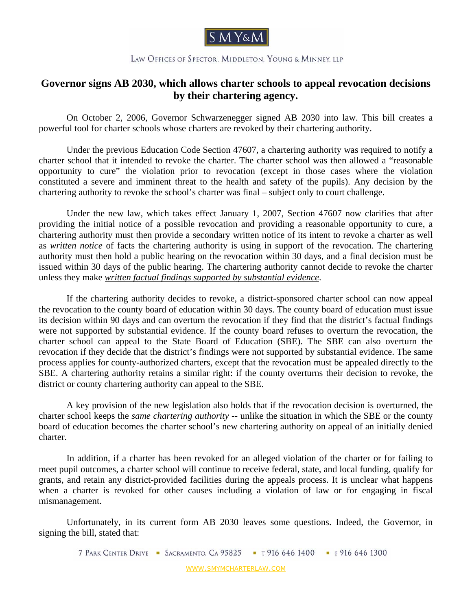

## LAW OFFICES OF SPECTOR. MIDDLETON. YOUNG & MINNEY, LLP

## **Governor signs AB 2030, which allows charter schools to appeal revocation decisions by their chartering agency.**

On October 2, 2006, Governor Schwarzenegger signed AB 2030 into law. This bill creates a powerful tool for charter schools whose charters are revoked by their chartering authority.

Under the previous Education Code Section 47607, a chartering authority was required to notify a charter school that it intended to revoke the charter. The charter school was then allowed a "reasonable opportunity to cure" the violation prior to revocation (except in those cases where the violation constituted a severe and imminent threat to the health and safety of the pupils). Any decision by the chartering authority to revoke the school's charter was final – subject only to court challenge.

Under the new law, which takes effect January 1, 2007, Section 47607 now clarifies that after providing the initial notice of a possible revocation and providing a reasonable opportunity to cure, a chartering authority must then provide a secondary written notice of its intent to revoke a charter as well as *written notice* of facts the chartering authority is using in support of the revocation. The chartering authority must then hold a public hearing on the revocation within 30 days, and a final decision must be issued within 30 days of the public hearing. The chartering authority cannot decide to revoke the charter unless they make *written factual findings supported by substantial evidence*.

If the chartering authority decides to revoke, a district-sponsored charter school can now appeal the revocation to the county board of education within 30 days. The county board of education must issue its decision within 90 days and can overturn the revocation if they find that the district's factual findings were not supported by substantial evidence. If the county board refuses to overturn the revocation, the charter school can appeal to the State Board of Education (SBE). The SBE can also overturn the revocation if they decide that the district's findings were not supported by substantial evidence. The same process applies for county-authorized charters, except that the revocation must be appealed directly to the SBE. A chartering authority retains a similar right: if the county overturns their decision to revoke, the district or county chartering authority can appeal to the SBE.

A key provision of the new legislation also holds that if the revocation decision is overturned, the charter school keeps the *same chartering authority* -- unlike the situation in which the SBE or the county board of education becomes the charter school's new chartering authority on appeal of an initially denied charter.

In addition, if a charter has been revoked for an alleged violation of the charter or for failing to meet pupil outcomes, a charter school will continue to receive federal, state, and local funding, qualify for grants, and retain any district-provided facilities during the appeals process. It is unclear what happens when a charter is revoked for other causes including a violation of law or for engaging in fiscal mismanagement.

Unfortunately, in its current form AB 2030 leaves some questions. Indeed, the Governor, in signing the bill, stated that:

7 PARK CENTER DRIVE - SACRAMENTO, CA 95825 - T 916 646 1400 - F 916 646 1300